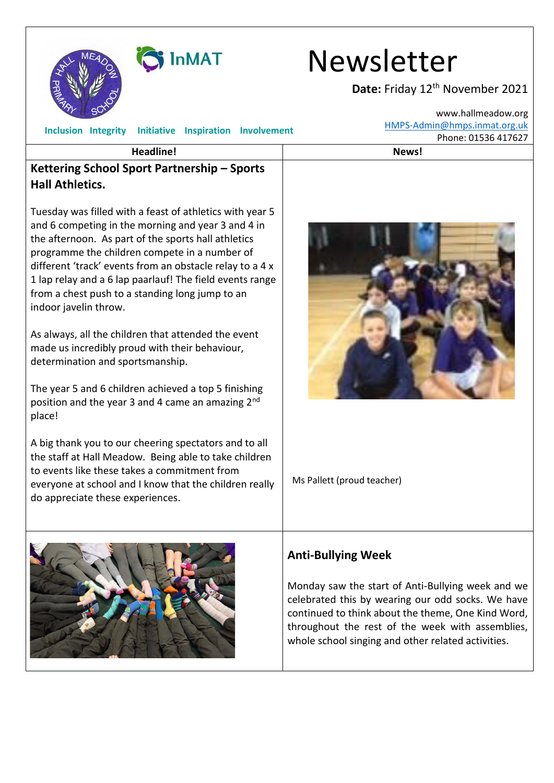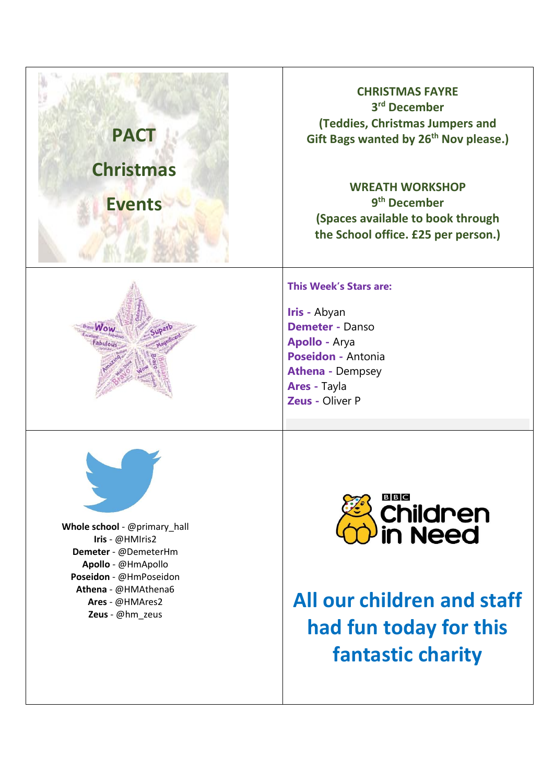